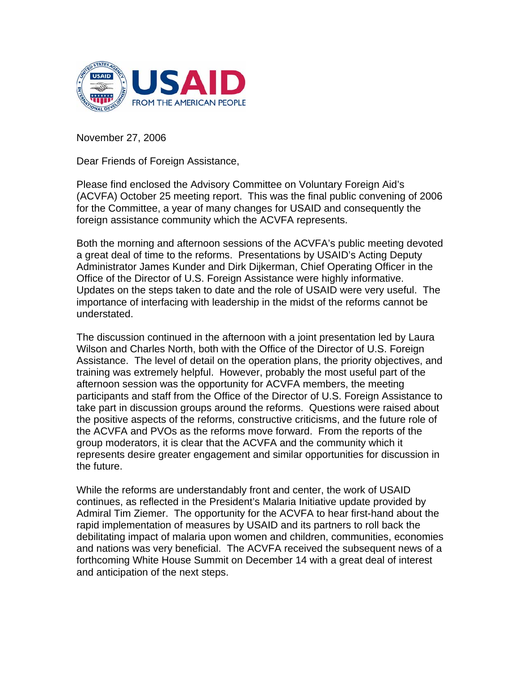

November 27, 2006

Dear Friends of Foreign Assistance,

Please find enclosed the Advisory Committee on Voluntary Foreign Aid's (ACVFA) October 25 meeting report. This was the final public convening of 2006 for the Committee, a year of many changes for USAID and consequently the foreign assistance community which the ACVFA represents.

Both the morning and afternoon sessions of the ACVFA's public meeting devoted a great deal of time to the reforms. Presentations by USAID's Acting Deputy Administrator James Kunder and Dirk Dijkerman, Chief Operating Officer in the Office of the Director of U.S. Foreign Assistance were highly informative. Updates on the steps taken to date and the role of USAID were very useful. The importance of interfacing with leadership in the midst of the reforms cannot be understated.

The discussion continued in the afternoon with a joint presentation led by Laura Wilson and Charles North, both with the Office of the Director of U.S. Foreign Assistance. The level of detail on the operation plans, the priority objectives, and training was extremely helpful. However, probably the most useful part of the afternoon session was the opportunity for ACVFA members, the meeting participants and staff from the Office of the Director of U.S. Foreign Assistance to take part in discussion groups around the reforms. Questions were raised about the positive aspects of the reforms, constructive criticisms, and the future role of the ACVFA and PVOs as the reforms move forward. From the reports of the group moderators, it is clear that the ACVFA and the community which it represents desire greater engagement and similar opportunities for discussion in the future.

While the reforms are understandably front and center, the work of USAID continues, as reflected in the President's Malaria Initiative update provided by Admiral Tim Ziemer. The opportunity for the ACVFA to hear first-hand about the rapid implementation of measures by USAID and its partners to roll back the debilitating impact of malaria upon women and children, communities, economies and nations was very beneficial. The ACVFA received the subsequent news of a forthcoming White House Summit on December 14 with a great deal of interest and anticipation of the next steps.